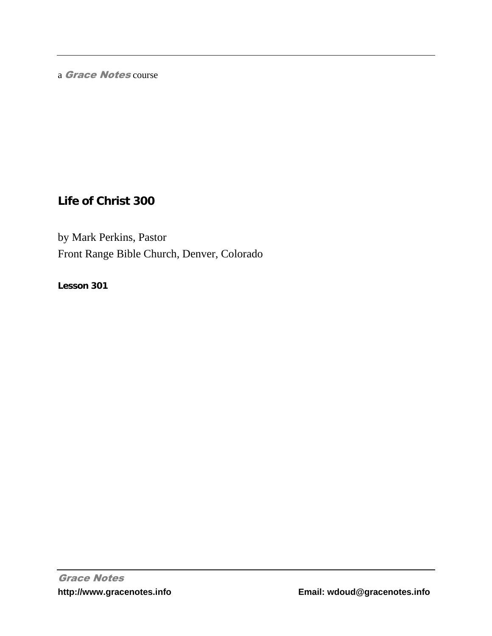a Grace Notes course

# **Life of Christ 300**

by Mark Perkins, Pastor Front Range Bible Church, Denver, Colorado

**Lesson 301**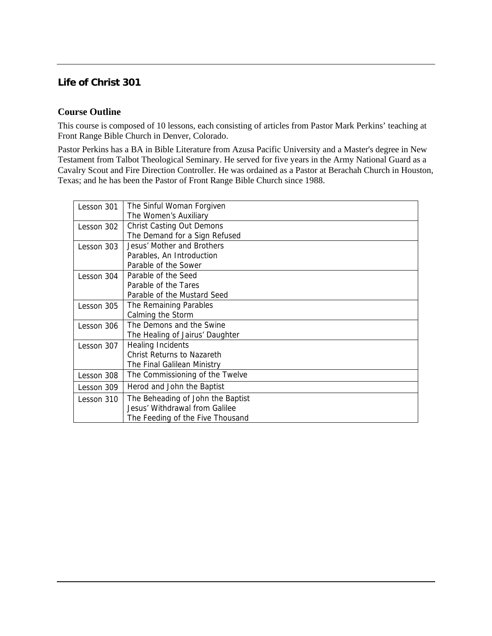## **Life of Christ 301**

### **Course Outline**

This course is composed of 10 lessons, each consisting of articles from Pastor Mark Perkins' teaching at Front Range Bible Church in Denver, Colorado.

Pastor Perkins has a BA in Bible Literature from Azusa Pacific University and a Master's degree in New Testament from Talbot Theological Seminary. He served for five years in the Army National Guard as a Cavalry Scout and Fire Direction Controller. He was ordained as a Pastor at Berachah Church in Houston, Texas; and he has been the Pastor of Front Range Bible Church since 1988.

| Lesson 301 | The Sinful Woman Forgiven         |
|------------|-----------------------------------|
|            | The Women's Auxiliary             |
| Lesson 302 | <b>Christ Casting Out Demons</b>  |
|            | The Demand for a Sign Refused     |
| Lesson 303 | Jesus' Mother and Brothers        |
|            | Parables, An Introduction         |
|            | Parable of the Sower              |
| Lesson 304 | Parable of the Seed               |
|            | Parable of the Tares              |
|            | Parable of the Mustard Seed       |
| Lesson 305 | The Remaining Parables            |
|            | Calming the Storm                 |
| Lesson 306 | The Demons and the Swine          |
|            | The Healing of Jairus' Daughter   |
| Lesson 307 | <b>Healing Incidents</b>          |
|            | Christ Returns to Nazareth        |
|            | The Final Galilean Ministry       |
| Lesson 308 | The Commissioning of the Twelve   |
| Lesson 309 | Herod and John the Baptist        |
| Lesson 310 | The Beheading of John the Baptist |
|            | Jesus' Withdrawal from Galilee    |
|            | The Feeding of the Five Thousand  |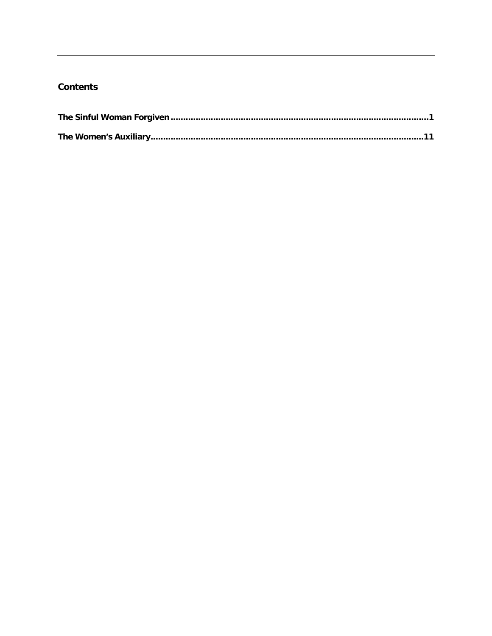### **Contents**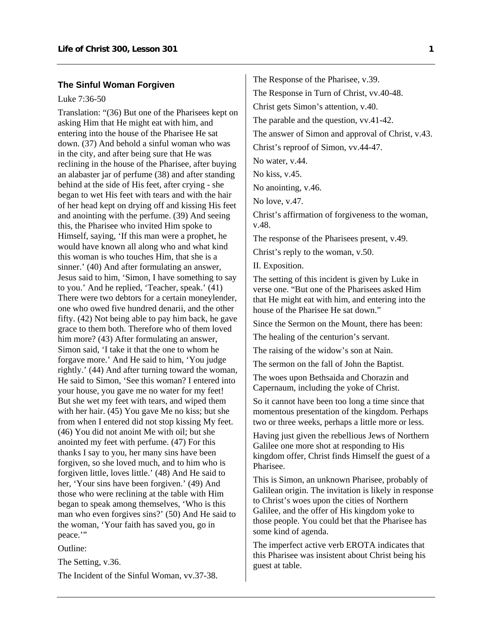#### <span id="page-3-0"></span>**The Sinful Woman Forgiven**

#### Luke 7:36-50

Translation: "(36) But one of the Pharisees kept on asking Him that He might eat with him, and entering into the house of the Pharisee He sat down. (37) And behold a sinful woman who was in the city, and after being sure that He was reclining in the house of the Pharisee, after buying an alabaster jar of perfume (38) and after standing behind at the side of His feet, after crying - she began to wet His feet with tears and with the hair of her head kept on drying off and kissing His feet and anointing with the perfume. (39) And seeing this, the Pharisee who invited Him spoke to Himself, saying, 'If this man were a prophet, he would have known all along who and what kind this woman is who touches Him, that she is a sinner.' (40) And after formulating an answer, Jesus said to him, 'Simon, I have something to say to you.' And he replied, 'Teacher, speak.' (41) There were two debtors for a certain moneylender, one who owed five hundred denarii, and the other fifty. (42) Not being able to pay him back, he gave grace to them both. Therefore who of them loved him more? (43) After formulating an answer, Simon said, 'I take it that the one to whom he forgave more.' And He said to him, 'You judge rightly.' (44) And after turning toward the woman, He said to Simon, 'See this woman? I entered into your house, you gave me no water for my feet! But she wet my feet with tears, and wiped them with her hair. (45) You gave Me no kiss; but she from when I entered did not stop kissing My feet. (46) You did not anoint Me with oil; but she anointed my feet with perfume. (47) For this thanks I say to you, her many sins have been forgiven, so she loved much, and to him who is forgiven little, loves little.' (48) And He said to her, 'Your sins have been forgiven.' (49) And those who were reclining at the table with Him began to speak among themselves, 'Who is this man who even forgives sins?' (50) And He said to the woman, 'Your faith has saved you, go in peace."

Outline:

The Setting, v.36.

The Incident of the Sinful Woman, vv.37-38.

The Response of the Pharisee, v.39. The Response in Turn of Christ, vv.40-48. Christ gets Simon's attention, v.40. The parable and the question, vv.41-42. The answer of Simon and approval of Christ, v.43. Christ's reproof of Simon, vv.44-47. No water, v.44. No kiss, v.45. No anointing, v.46. No love, v.47. Christ's affirmation of forgiveness to the woman, v.48. The response of the Pharisees present, v.49. Christ's reply to the woman, v.50.

II. Exposition.

The setting of this incident is given by Luke in verse one. "But one of the Pharisees asked Him that He might eat with him, and entering into the house of the Pharisee He sat down."

Since the Sermon on the Mount, there has been:

The healing of the centurion's servant.

The raising of the widow's son at Nain.

The sermon on the fall of John the Baptist.

The woes upon Bethsaida and Chorazin and Capernaum, including the yoke of Christ.

So it cannot have been too long a time since that momentous presentation of the kingdom. Perhaps two or three weeks, perhaps a little more or less.

Having just given the rebellious Jews of Northern Galilee one more shot at responding to His kingdom offer, Christ finds Himself the guest of a Pharisee.

This is Simon, an unknown Pharisee, probably of Galilean origin. The invitation is likely in response to Christ's woes upon the cities of Northern Galilee, and the offer of His kingdom yoke to those people. You could bet that the Pharisee has some kind of agenda.

The imperfect active verb EROTA indicates that this Pharisee was insistent about Christ being his guest at table.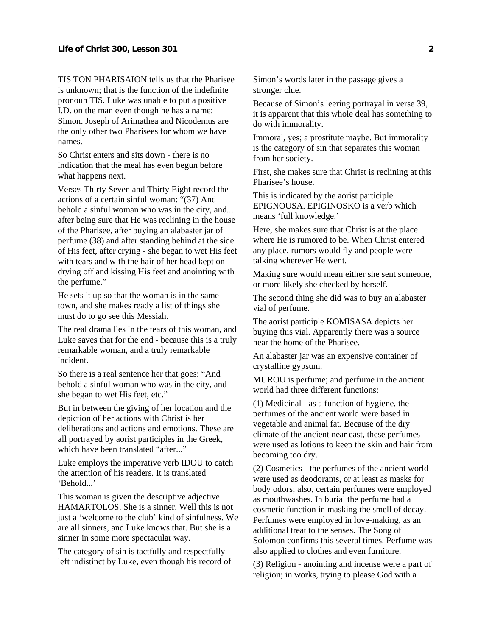TIS TON PHARISAION tells us that the Pharisee is unknown; that is the function of the indefinite pronoun TIS. Luke was unable to put a positive I.D. on the man even though he has a name: Simon. Joseph of Arimathea and Nicodemus are the only other two Pharisees for whom we have names.

So Christ enters and sits down - there is no indication that the meal has even begun before what happens next.

Verses Thirty Seven and Thirty Eight record the actions of a certain sinful woman: "(37) And behold a sinful woman who was in the city, and... after being sure that He was reclining in the house of the Pharisee, after buying an alabaster jar of perfume (38) and after standing behind at the side of His feet, after crying - she began to wet His feet with tears and with the hair of her head kept on drying off and kissing His feet and anointing with the perfume."

He sets it up so that the woman is in the same town, and she makes ready a list of things she must do to go see this Messiah.

The real drama lies in the tears of this woman, and Luke saves that for the end - because this is a truly remarkable woman, and a truly remarkable incident.

So there is a real sentence her that goes: "And behold a sinful woman who was in the city, and she began to wet His feet, etc."

But in between the giving of her location and the depiction of her actions with Christ is her deliberations and actions and emotions. These are all portrayed by aorist participles in the Greek, which have been translated "after..."

Luke employs the imperative verb IDOU to catch the attention of his readers. It is translated 'Behold.

This woman is given the descriptive adjective HAMARTOLOS. She is a sinner. Well this is not just a 'welcome to the club' kind of sinfulness. We are all sinners, and Luke knows that. But she is a sinner in some more spectacular way.

The category of sin is tactfully and respectfully left indistinct by Luke, even though his record of Simon's words later in the passage gives a stronger clue.

Because of Simon's leering portrayal in verse 39, it is apparent that this whole deal has something to do with immorality.

Immoral, yes; a prostitute maybe. But immorality is the category of sin that separates this woman from her society.

First, she makes sure that Christ is reclining at this Pharisee's house.

This is indicated by the aorist participle EPIGNOUSA. EPIGINOSKO is a verb which means 'full knowledge.'

Here, she makes sure that Christ is at the place where He is rumored to be. When Christ entered any place, rumors would fly and people were talking wherever He went.

Making sure would mean either she sent someone, or more likely she checked by herself.

The second thing she did was to buy an alabaster vial of perfume.

The aorist participle KOMISASA depicts her buying this vial. Apparently there was a source near the home of the Pharisee.

An alabaster jar was an expensive container of crystalline gypsum.

MUROU is perfume; and perfume in the ancient world had three different functions:

(1) Medicinal - as a function of hygiene, the perfumes of the ancient world were based in vegetable and animal fat. Because of the dry climate of the ancient near east, these perfumes were used as lotions to keep the skin and hair from becoming too dry.

(2) Cosmetics - the perfumes of the ancient world were used as deodorants, or at least as masks for body odors; also, certain perfumes were employed as mouthwashes. In burial the perfume had a cosmetic function in masking the smell of decay. Perfumes were employed in love-making, as an additional treat to the senses. The Song of Solomon confirms this several times. Perfume was also applied to clothes and even furniture.

(3) Religion - anointing and incense were a part of religion; in works, trying to please God with a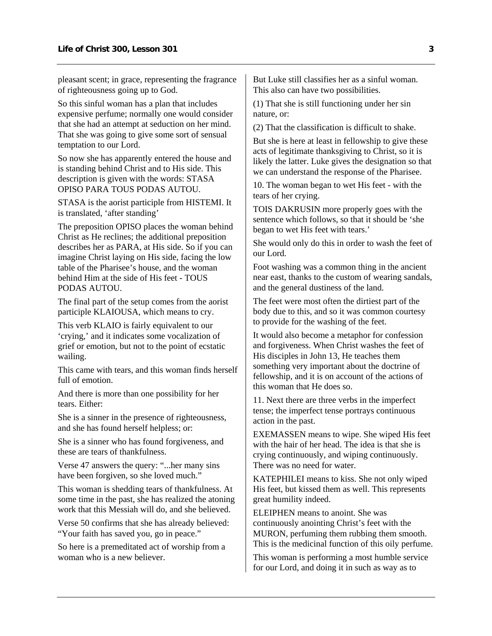pleasant scent; in grace, representing the fragrance of righteousness going up to God.

So this sinful woman has a plan that includes expensive perfume; normally one would consider that she had an attempt at seduction on her mind. That she was going to give some sort of sensual temptation to our Lord.

So now she has apparently entered the house and is standing behind Christ and to His side. This description is given with the words: STASA OPISO PARA TOUS PODAS AUTOU.

STASA is the aorist participle from HISTEMI. It is translated, 'after standing'

The preposition OPISO places the woman behind Christ as He reclines; the additional preposition describes her as PARA, at His side. So if you can imagine Christ laying on His side, facing the low table of the Pharisee's house, and the woman behind Him at the side of His feet - TOUS PODAS AUTOU.

The final part of the setup comes from the aorist participle KLAIOUSA, which means to cry.

This verb KLAIO is fairly equivalent to our 'crying,' and it indicates some vocalization of grief or emotion, but not to the point of ecstatic wailing.

This came with tears, and this woman finds herself full of emotion

And there is more than one possibility for her tears. Either:

She is a sinner in the presence of righteousness, and she has found herself helpless; or:

She is a sinner who has found forgiveness, and these are tears of thankfulness.

Verse 47 answers the query: "...her many sins have been forgiven, so she loved much."

This woman is shedding tears of thankfulness. At some time in the past, she has realized the atoning work that this Messiah will do, and she believed.

Verse 50 confirms that she has already believed: "Your faith has saved you, go in peace."

So here is a premeditated act of worship from a woman who is a new believer.

But Luke still classifies her as a sinful woman. This also can have two possibilities.

(1) That she is still functioning under her sin nature, or:

(2) That the classification is difficult to shake.

But she is here at least in fellowship to give these acts of legitimate thanksgiving to Christ, so it is likely the latter. Luke gives the designation so that we can understand the response of the Pharisee.

10. The woman began to wet His feet - with the tears of her crying.

TOIS DAKRUSIN more properly goes with the sentence which follows, so that it should be 'she began to wet His feet with tears.'

She would only do this in order to wash the feet of our Lord.

Foot washing was a common thing in the ancient near east, thanks to the custom of wearing sandals, and the general dustiness of the land.

The feet were most often the dirtiest part of the body due to this, and so it was common courtesy to provide for the washing of the feet.

It would also become a metaphor for confession and forgiveness. When Christ washes the feet of His disciples in John 13, He teaches them something very important about the doctrine of fellowship, and it is on account of the actions of this woman that He does so.

11. Next there are three verbs in the imperfect tense; the imperfect tense portrays continuous action in the past.

EXEMASSEN means to wipe. She wiped His feet with the hair of her head. The idea is that she is crying continuously, and wiping continuously. There was no need for water.

KATEPHILEI means to kiss. She not only wiped His feet, but kissed them as well. This represents great humility indeed.

ELEIPHEN means to anoint. She was continuously anointing Christ's feet with the MURON, perfuming them rubbing them smooth. This is the medicinal function of this oily perfume.

This woman is performing a most humble service for our Lord, and doing it in such as way as to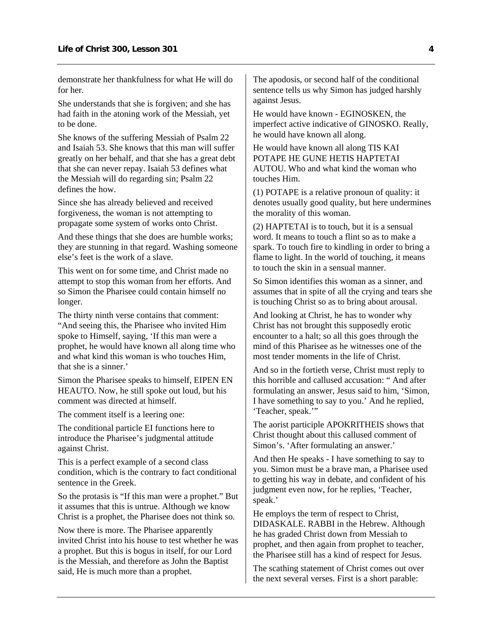demonstrate her thankfulness for what He will do for her.

She understands that she is forgiven; and she has had faith in the atoning work of the Messiah, yet to be done.

She knows of the suffering Messiah of Psalm 22 and Isaiah 53. She knows that this man will suffer greatly on her behalf, and that she has a great debt that she can never repay. Isaiah 53 defines what the Messiah will do regarding sin; Psalm 22 defines the how.

Since she has already believed and received forgiveness, the woman is not attempting to propagate some system of works onto Christ.

And these things that she does are humble works; they are stunning in that regard. Washing someone else's feet is the work of a slave.

This went on for some time, and Christ made no attempt to stop this woman from her efforts. And so Simon the Pharisee could contain himself no longer.

The thirty ninth verse contains that comment: "And seeing this, the Pharisee who invited Him spoke to Himself, saying, 'If this man were a prophet, he would have known all along time who and what kind this woman is who touches Him, that she is a sinner.'

Simon the Pharisee speaks to himself, EIPEN EN HEAUTO. Now, he still spoke out loud, but his comment was directed at himself.

The comment itself is a leering one:

The conditional particle EI functions here to introduce the Pharisee's judgmental attitude against Christ.

This is a perfect example of a second class condition, which is the contrary to fact conditional sentence in the Greek.

So the protasis is "If this man were a prophet." But it assumes that this is untrue. Although we know Christ is a prophet, the Pharisee does not think so.

Now there is more. The Pharisee apparently invited Christ into his house to test whether he was a prophet. But this is bogus in itself, for our Lord is the Messiah, and therefore as John the Baptist said, He is much more than a prophet.

The apodosis, or second half of the conditional sentence tells us why Simon has judged harshly against Jesus.

He would have known - EGINOSKEN, the imperfect active indicative of GINOSKO. Really, he would have known all along.

He would have known all along TIS KAI POTAPE HE GUNE HETIS HAPTETAI AUTOU. Who and what kind the woman who touches Him.

(1) POTAPE is a relative pronoun of quality: it denotes usually good quality, but here undermines the morality of this woman.

(2) HAPTETAI is to touch, but it is a sensual word. It means to touch a flint so as to make a spark. To touch fire to kindling in order to bring a flame to light. In the world of touching, it means to touch the skin in a sensual manner.

So Simon identifies this woman as a sinner, and assumes that in spite of all the crying and tears she is touching Christ so as to bring about arousal.

And looking at Christ, he has to wonder why Christ has not brought this supposedly erotic encounter to a halt; so all this goes through the mind of this Pharisee as he witnesses one of the most tender moments in the life of Christ.

And so in the fortieth verse, Christ must reply to this horrible and callused accusation: " And after formulating an answer, Jesus said to him, 'Simon, I have something to say to you.' And he replied, 'Teacher, speak.'"

The aorist participle APOKRITHEIS shows that Christ thought about this callused comment of Simon's. 'After formulating an answer.'

And then He speaks - I have something to say to you. Simon must be a brave man, a Pharisee used to getting his way in debate, and confident of his judgment even now, for he replies, 'Teacher, speak.'

He employs the term of respect to Christ, DIDASKALE. RABBI in the Hebrew. Although he has graded Christ down from Messiah to prophet, and then again from prophet to teacher, the Pharisee still has a kind of respect for Jesus.

The scathing statement of Christ comes out over the next several verses. First is a short parable: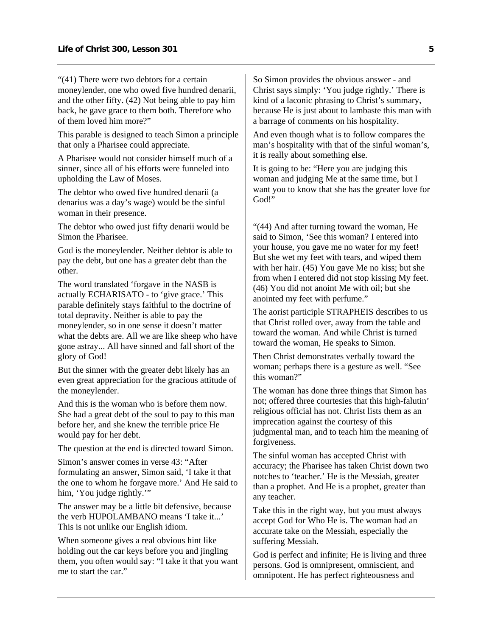"(41) There were two debtors for a certain moneylender, one who owed five hundred denarii, and the other fifty. (42) Not being able to pay him back, he gave grace to them both. Therefore who of them loved him more?"

This parable is designed to teach Simon a principle that only a Pharisee could appreciate.

A Pharisee would not consider himself much of a sinner, since all of his efforts were funneled into upholding the Law of Moses.

The debtor who owed five hundred denarii (a denarius was a day's wage) would be the sinful woman in their presence.

The debtor who owed just fifty denarii would be Simon the Pharisee.

God is the moneylender. Neither debtor is able to pay the debt, but one has a greater debt than the other.

The word translated 'forgave in the NASB is actually ECHARISATO - to 'give grace.' This parable definitely stays faithful to the doctrine of total depravity. Neither is able to pay the moneylender, so in one sense it doesn't matter what the debts are. All we are like sheep who have gone astray... All have sinned and fall short of the glory of God!

But the sinner with the greater debt likely has an even great appreciation for the gracious attitude of the moneylender.

And this is the woman who is before them now. She had a great debt of the soul to pay to this man before her, and she knew the terrible price He would pay for her debt.

The question at the end is directed toward Simon.

Simon's answer comes in verse 43: "After formulating an answer, Simon said, 'I take it that the one to whom he forgave more.' And He said to him, 'You judge rightly.'"

The answer may be a little bit defensive, because the verb HUPOLAMBANO means 'I take it...' This is not unlike our English idiom.

When someone gives a real obvious hint like holding out the car keys before you and jingling them, you often would say: "I take it that you want me to start the car."

So Simon provides the obvious answer - and Christ says simply: 'You judge rightly.' There is kind of a laconic phrasing to Christ's summary, because He is just about to lambaste this man with a barrage of comments on his hospitality.

And even though what is to follow compares the man's hospitality with that of the sinful woman's, it is really about something else.

It is going to be: "Here you are judging this woman and judging Me at the same time, but I want you to know that she has the greater love for God!"

"(44) And after turning toward the woman, He said to Simon, 'See this woman? I entered into your house, you gave me no water for my feet! But she wet my feet with tears, and wiped them with her hair. (45) You gave Me no kiss; but she from when I entered did not stop kissing My feet. (46) You did not anoint Me with oil; but she anointed my feet with perfume."

The aorist participle STRAPHEIS describes to us that Christ rolled over, away from the table and toward the woman. And while Christ is turned toward the woman, He speaks to Simon.

Then Christ demonstrates verbally toward the woman; perhaps there is a gesture as well. "See this woman?"

The woman has done three things that Simon has not; offered three courtesies that this high-falutin' religious official has not. Christ lists them as an imprecation against the courtesy of this judgmental man, and to teach him the meaning of forgiveness.

The sinful woman has accepted Christ with accuracy; the Pharisee has taken Christ down two notches to 'teacher.' He is the Messiah, greater than a prophet. And He is a prophet, greater than any teacher.

Take this in the right way, but you must always accept God for Who He is. The woman had an accurate take on the Messiah, especially the suffering Messiah.

God is perfect and infinite; He is living and three persons. God is omnipresent, omniscient, and omnipotent. He has perfect righteousness and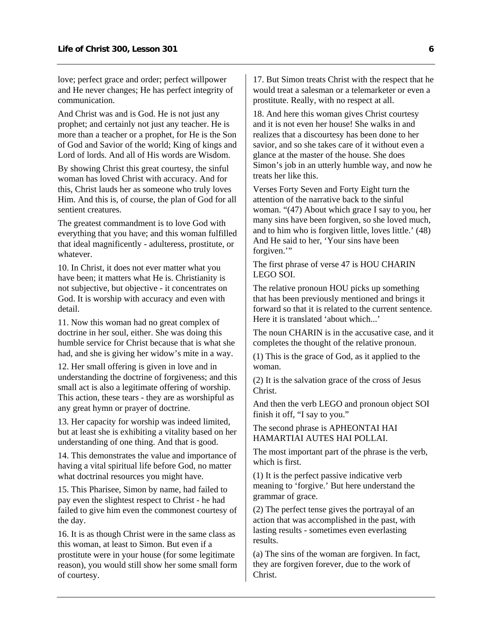love; perfect grace and order; perfect willpower and He never changes; He has perfect integrity of communication.

And Christ was and is God. He is not just any prophet; and certainly not just any teacher. He is more than a teacher or a prophet, for He is the Son of God and Savior of the world; King of kings and Lord of lords. And all of His words are Wisdom.

By showing Christ this great courtesy, the sinful woman has loved Christ with accuracy. And for this, Christ lauds her as someone who truly loves Him. And this is, of course, the plan of God for all sentient creatures.

The greatest commandment is to love God with everything that you have; and this woman fulfilled that ideal magnificently - adulteress, prostitute, or whatever.

10. In Christ, it does not ever matter what you have been; it matters what He is. Christianity is not subjective, but objective - it concentrates on God. It is worship with accuracy and even with detail.

11. Now this woman had no great complex of doctrine in her soul, either. She was doing this humble service for Christ because that is what she had, and she is giving her widow's mite in a way.

12. Her small offering is given in love and in understanding the doctrine of forgiveness; and this small act is also a legitimate offering of worship. This action, these tears - they are as worshipful as any great hymn or prayer of doctrine.

13. Her capacity for worship was indeed limited, but at least she is exhibiting a vitality based on her understanding of one thing. And that is good.

14. This demonstrates the value and importance of having a vital spiritual life before God, no matter what doctrinal resources you might have.

15. This Pharisee, Simon by name, had failed to pay even the slightest respect to Christ - he had failed to give him even the commonest courtesy of the day.

16. It is as though Christ were in the same class as this woman, at least to Simon. But even if a prostitute were in your house (for some legitimate reason), you would still show her some small form of courtesy.

17. But Simon treats Christ with the respect that he would treat a salesman or a telemarketer or even a prostitute. Really, with no respect at all.

18. And here this woman gives Christ courtesy and it is not even her house! She walks in and realizes that a discourtesy has been done to her savior, and so she takes care of it without even a glance at the master of the house. She does Simon's job in an utterly humble way, and now he treats her like this.

Verses Forty Seven and Forty Eight turn the attention of the narrative back to the sinful woman. "(47) About which grace I say to you, her many sins have been forgiven, so she loved much, and to him who is forgiven little, loves little.' (48) And He said to her, 'Your sins have been forgiven."

The first phrase of verse 47 is HOU CHARIN LEGO SOI.

The relative pronoun HOU picks up something that has been previously mentioned and brings it forward so that it is related to the current sentence. Here it is translated 'about which...'

The noun CHARIN is in the accusative case, and it completes the thought of the relative pronoun.

(1) This is the grace of God, as it applied to the woman.

(2) It is the salvation grace of the cross of Jesus Christ.

And then the verb LEGO and pronoun object SOI finish it off, "I say to you."

The second phrase is APHEONTAI HAI HAMARTIAI AUTES HAI POLLAI.

The most important part of the phrase is the verb, which is first.

(1) It is the perfect passive indicative verb meaning to 'forgive.' But here understand the grammar of grace.

(2) The perfect tense gives the portrayal of an action that was accomplished in the past, with lasting results - sometimes even everlasting results.

(a) The sins of the woman are forgiven. In fact, they are forgiven forever, due to the work of Christ.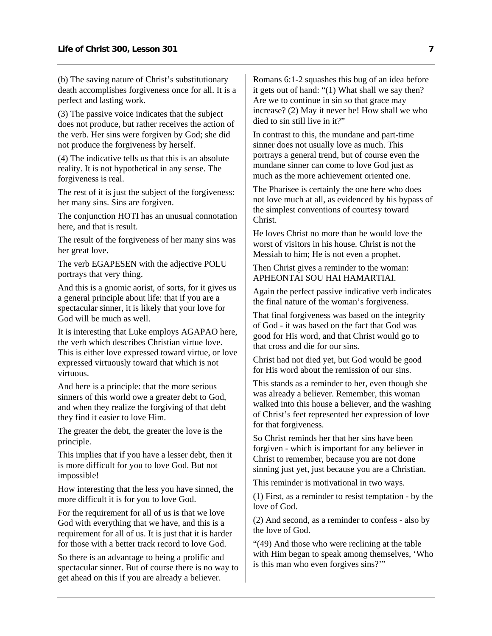(b) The saving nature of Christ's substitutionary death accomplishes forgiveness once for all. It is a perfect and lasting work.

(3) The passive voice indicates that the subject does not produce, but rather receives the action of the verb. Her sins were forgiven by God; she did not produce the forgiveness by herself.

(4) The indicative tells us that this is an absolute reality. It is not hypothetical in any sense. The forgiveness is real.

The rest of it is just the subject of the forgiveness: her many sins. Sins are forgiven.

The conjunction HOTI has an unusual connotation here, and that is result.

The result of the forgiveness of her many sins was her great love.

The verb EGAPESEN with the adjective POLU portrays that very thing.

And this is a gnomic aorist, of sorts, for it gives us a general principle about life: that if you are a spectacular sinner, it is likely that your love for God will be much as well.

It is interesting that Luke employs AGAPAO here, the verb which describes Christian virtue love. This is either love expressed toward virtue, or love expressed virtuously toward that which is not virtuous.

And here is a principle: that the more serious sinners of this world owe a greater debt to God, and when they realize the forgiving of that debt they find it easier to love Him.

The greater the debt, the greater the love is the principle.

This implies that if you have a lesser debt, then it is more difficult for you to love God. But not impossible!

How interesting that the less you have sinned, the more difficult it is for you to love God.

For the requirement for all of us is that we love God with everything that we have, and this is a requirement for all of us. It is just that it is harder for those with a better track record to love God.

So there is an advantage to being a prolific and spectacular sinner. But of course there is no way to get ahead on this if you are already a believer.

Romans 6:1-2 squashes this bug of an idea before it gets out of hand: "(1) What shall we say then? Are we to continue in sin so that grace may increase? (2) May it never be! How shall we who died to sin still live in it?"

In contrast to this, the mundane and part-time sinner does not usually love as much. This portrays a general trend, but of course even the mundane sinner can come to love God just as much as the more achievement oriented one.

The Pharisee is certainly the one here who does not love much at all, as evidenced by his bypass of the simplest conventions of courtesy toward Christ.

He loves Christ no more than he would love the worst of visitors in his house. Christ is not the Messiah to him; He is not even a prophet.

Then Christ gives a reminder to the woman: APHEONTAI SOU HAI HAMARTIAI.

Again the perfect passive indicative verb indicates the final nature of the woman's forgiveness.

That final forgiveness was based on the integrity of God - it was based on the fact that God was good for His word, and that Christ would go to that cross and die for our sins.

Christ had not died yet, but God would be good for His word about the remission of our sins.

This stands as a reminder to her, even though she was already a believer. Remember, this woman walked into this house a believer, and the washing of Christ's feet represented her expression of love for that forgiveness.

So Christ reminds her that her sins have been forgiven - which is important for any believer in Christ to remember, because you are not done sinning just yet, just because you are a Christian.

This reminder is motivational in two ways.

(1) First, as a reminder to resist temptation - by the love of God.

(2) And second, as a reminder to confess - also by the love of God.

"(49) And those who were reclining at the table with Him began to speak among themselves, 'Who is this man who even forgives sins?'"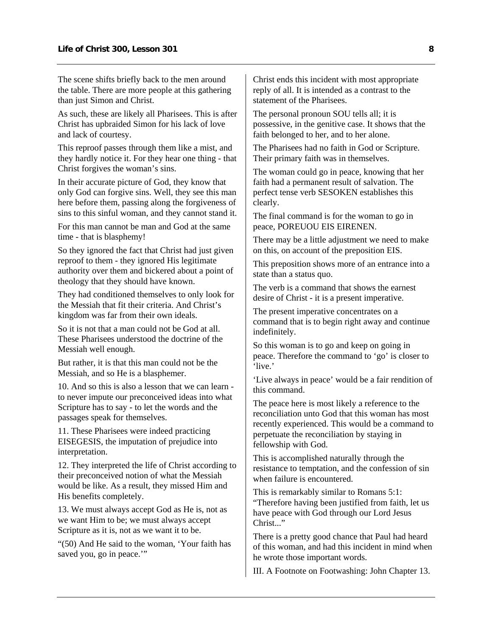The scene shifts briefly back to the men around the table. There are more people at this gathering than just Simon and Christ.

As such, these are likely all Pharisees. This is after Christ has upbraided Simon for his lack of love and lack of courtesy.

This reproof passes through them like a mist, and they hardly notice it. For they hear one thing - that Christ forgives the woman's sins.

In their accurate picture of God, they know that only God can forgive sins. Well, they see this man here before them, passing along the forgiveness of sins to this sinful woman, and they cannot stand it.

For this man cannot be man and God at the same time - that is blasphemy!

So they ignored the fact that Christ had just given reproof to them - they ignored His legitimate authority over them and bickered about a point of theology that they should have known.

They had conditioned themselves to only look for the Messiah that fit their criteria. And Christ's kingdom was far from their own ideals.

So it is not that a man could not be God at all. These Pharisees understood the doctrine of the Messiah well enough.

But rather, it is that this man could not be the Messiah, and so He is a blasphemer.

10. And so this is also a lesson that we can learn to never impute our preconceived ideas into what Scripture has to say - to let the words and the passages speak for themselves.

11. These Pharisees were indeed practicing EISEGESIS, the imputation of prejudice into interpretation.

12. They interpreted the life of Christ according to their preconceived notion of what the Messiah would be like. As a result, they missed Him and His benefits completely.

13. We must always accept God as He is, not as we want Him to be; we must always accept Scripture as it is, not as we want it to be.

"(50) And He said to the woman, 'Your faith has saved you, go in peace."

Christ ends this incident with most appropriate reply of all. It is intended as a contrast to the statement of the Pharisees.

The personal pronoun SOU tells all; it is possessive, in the genitive case. It shows that the faith belonged to her, and to her alone.

The Pharisees had no faith in God or Scripture. Their primary faith was in themselves.

The woman could go in peace, knowing that her faith had a permanent result of salvation. The perfect tense verb SESOKEN establishes this clearly.

The final command is for the woman to go in peace, POREUOU EIS EIRENEN.

There may be a little adjustment we need to make on this, on account of the preposition EIS.

This preposition shows more of an entrance into a state than a status quo.

The verb is a command that shows the earnest desire of Christ - it is a present imperative.

The present imperative concentrates on a command that is to begin right away and continue indefinitely.

So this woman is to go and keep on going in peace. Therefore the command to 'go' is closer to 'live.'

'Live always in peace' would be a fair rendition of this command.

The peace here is most likely a reference to the reconciliation unto God that this woman has most recently experienced. This would be a command to perpetuate the reconciliation by staying in fellowship with God.

This is accomplished naturally through the resistance to temptation, and the confession of sin when failure is encountered.

This is remarkably similar to Romans 5:1: "Therefore having been justified from faith, let us have peace with God through our Lord Jesus Christ<sup>"</sup>

There is a pretty good chance that Paul had heard of this woman, and had this incident in mind when he wrote those important words.

III. A Footnote on Footwashing: John Chapter 13.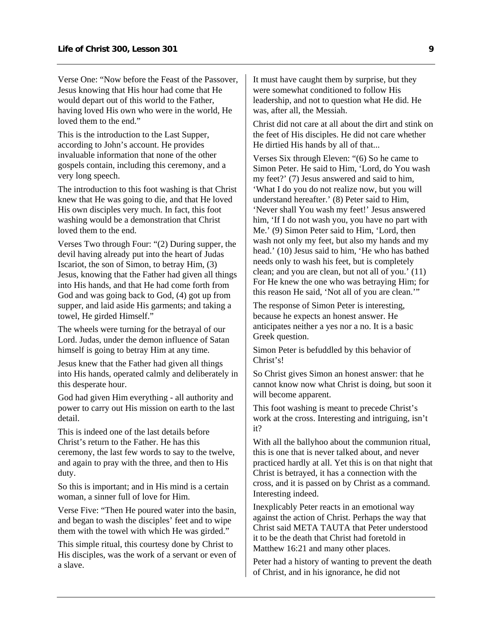Verse One: "Now before the Feast of the Passover, Jesus knowing that His hour had come that He would depart out of this world to the Father, having loved His own who were in the world, He loved them to the end."

This is the introduction to the Last Supper, according to John's account. He provides invaluable information that none of the other gospels contain, including this ceremony, and a very long speech.

The introduction to this foot washing is that Christ knew that He was going to die, and that He loved His own disciples very much. In fact, this foot washing would be a demonstration that Christ loved them to the end.

Verses Two through Four: "(2) During supper, the devil having already put into the heart of Judas Iscariot, the son of Simon, to betray Him, (3) Jesus, knowing that the Father had given all things into His hands, and that He had come forth from God and was going back to God, (4) got up from supper, and laid aside His garments; and taking a towel, He girded Himself."

The wheels were turning for the betrayal of our Lord. Judas, under the demon influence of Satan himself is going to betray Him at any time.

Jesus knew that the Father had given all things into His hands, operated calmly and deliberately in this desperate hour.

God had given Him everything - all authority and power to carry out His mission on earth to the last detail.

This is indeed one of the last details before Christ's return to the Father. He has this ceremony, the last few words to say to the twelve, and again to pray with the three, and then to His duty.

So this is important; and in His mind is a certain woman, a sinner full of love for Him.

Verse Five: "Then He poured water into the basin, and began to wash the disciples' feet and to wipe them with the towel with which He was girded."

This simple ritual, this courtesy done by Christ to His disciples, was the work of a servant or even of a slave.

It must have caught them by surprise, but they were somewhat conditioned to follow His leadership, and not to question what He did. He was, after all, the Messiah.

Christ did not care at all about the dirt and stink on the feet of His disciples. He did not care whether He dirtied His hands by all of that...

Verses Six through Eleven: "(6) So he came to Simon Peter. He said to Him, 'Lord, do You wash my feet?' (7) Jesus answered and said to him, 'What I do you do not realize now, but you will understand hereafter.' (8) Peter said to Him, 'Never shall You wash my feet!' Jesus answered him, 'If I do not wash you, you have no part with Me.' (9) Simon Peter said to Him, 'Lord, then wash not only my feet, but also my hands and my head.' (10) Jesus said to him, 'He who has bathed needs only to wash his feet, but is completely clean; and you are clean, but not all of you.' (11) For He knew the one who was betraying Him; for this reason He said, 'Not all of you are clean.'"

The response of Simon Peter is interesting, because he expects an honest answer. He anticipates neither a yes nor a no. It is a basic Greek question.

Simon Peter is befuddled by this behavior of Christ's!

So Christ gives Simon an honest answer: that he cannot know now what Christ is doing, but soon it will become apparent.

This foot washing is meant to precede Christ's work at the cross. Interesting and intriguing, isn't it?

With all the ballyhoo about the communion ritual, this is one that is never talked about, and never practiced hardly at all. Yet this is on that night that Christ is betrayed, it has a connection with the cross, and it is passed on by Christ as a command. Interesting indeed.

Inexplicably Peter reacts in an emotional way against the action of Christ. Perhaps the way that Christ said META TAUTA that Peter understood it to be the death that Christ had foretold in Matthew 16:21 and many other places.

Peter had a history of wanting to prevent the death of Christ, and in his ignorance, he did not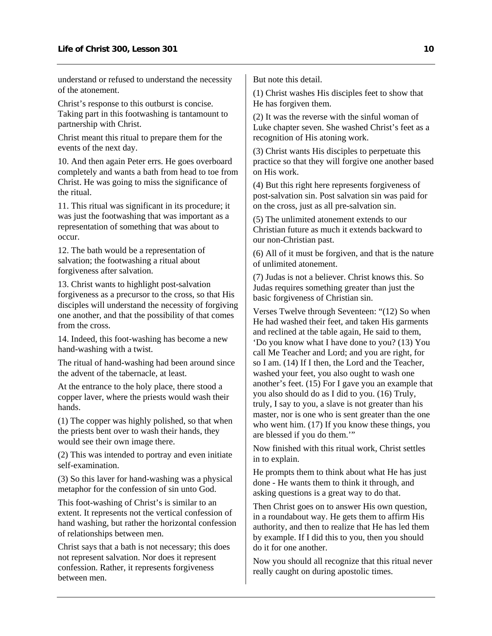understand or refused to understand the necessity of the atonement.

Christ's response to this outburst is concise. Taking part in this footwashing is tantamount to partnership with Christ.

Christ meant this ritual to prepare them for the events of the next day.

10. And then again Peter errs. He goes overboard completely and wants a bath from head to toe from Christ. He was going to miss the significance of the ritual.

11. This ritual was significant in its procedure; it was just the footwashing that was important as a representation of something that was about to occur.

12. The bath would be a representation of salvation; the footwashing a ritual about forgiveness after salvation.

13. Christ wants to highlight post-salvation forgiveness as a precursor to the cross, so that His disciples will understand the necessity of forgiving one another, and that the possibility of that comes from the cross.

14. Indeed, this foot-washing has become a new hand-washing with a twist.

The ritual of hand-washing had been around since the advent of the tabernacle, at least.

At the entrance to the holy place, there stood a copper laver, where the priests would wash their hands.

(1) The copper was highly polished, so that when the priests bent over to wash their hands, they would see their own image there.

(2) This was intended to portray and even initiate self-examination.

(3) So this laver for hand-washing was a physical metaphor for the confession of sin unto God.

This foot-washing of Christ's is similar to an extent. It represents not the vertical confession of hand washing, but rather the horizontal confession of relationships between men.

Christ says that a bath is not necessary; this does not represent salvation. Nor does it represent confession. Rather, it represents forgiveness between men.

But note this detail.

(1) Christ washes His disciples feet to show that He has forgiven them.

(2) It was the reverse with the sinful woman of Luke chapter seven. She washed Christ's feet as a recognition of His atoning work.

(3) Christ wants His disciples to perpetuate this practice so that they will forgive one another based on His work.

(4) But this right here represents forgiveness of post-salvation sin. Post salvation sin was paid for on the cross, just as all pre-salvation sin.

(5) The unlimited atonement extends to our Christian future as much it extends backward to our non-Christian past.

(6) All of it must be forgiven, and that is the nature of unlimited atonement.

(7) Judas is not a believer. Christ knows this. So Judas requires something greater than just the basic forgiveness of Christian sin.

Verses Twelve through Seventeen: "(12) So when He had washed their feet, and taken His garments and reclined at the table again, He said to them, 'Do you know what I have done to you? (13) You call Me Teacher and Lord; and you are right, for so I am. (14) If I then, the Lord and the Teacher, washed your feet, you also ought to wash one another's feet. (15) For I gave you an example that you also should do as I did to you. (16) Truly, truly, I say to you, a slave is not greater than his master, nor is one who is sent greater than the one who went him. (17) If you know these things, you are blessed if you do them.'"

Now finished with this ritual work, Christ settles in to explain.

He prompts them to think about what He has just done - He wants them to think it through, and asking questions is a great way to do that.

Then Christ goes on to answer His own question, in a roundabout way. He gets them to affirm His authority, and then to realize that He has led them by example. If I did this to you, then you should do it for one another.

Now you should all recognize that this ritual never really caught on during apostolic times.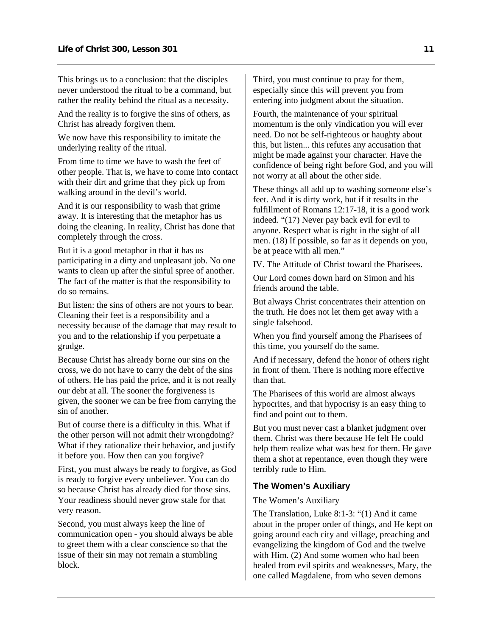This brings us to a conclusion: that the disciples never understood the ritual to be a command, but rather the reality behind the ritual as a necessity.

And the reality is to forgive the sins of others, as Christ has already forgiven them.

We now have this responsibility to imitate the underlying reality of the ritual.

From time to time we have to wash the feet of other people. That is, we have to come into contact with their dirt and grime that they pick up from walking around in the devil's world.

And it is our responsibility to wash that grime away. It is interesting that the metaphor has us doing the cleaning. In reality, Christ has done that completely through the cross.

But it is a good metaphor in that it has us participating in a dirty and unpleasant job. No one wants to clean up after the sinful spree of another. The fact of the matter is that the responsibility to do so remains.

But listen: the sins of others are not yours to bear. Cleaning their feet is a responsibility and a necessity because of the damage that may result to you and to the relationship if you perpetuate a grudge.

Because Christ has already borne our sins on the cross, we do not have to carry the debt of the sins of others. He has paid the price, and it is not really our debt at all. The sooner the forgiveness is given, the sooner we can be free from carrying the sin of another.

But of course there is a difficulty in this. What if the other person will not admit their wrongdoing? What if they rationalize their behavior, and justify it before you. How then can you forgive?

First, you must always be ready to forgive, as God is ready to forgive every unbeliever. You can do so because Christ has already died for those sins. Your readiness should never grow stale for that very reason.

Second, you must always keep the line of communication open - you should always be able to greet them with a clear conscience so that the issue of their sin may not remain a stumbling block.

Third, you must continue to pray for them, especially since this will prevent you from entering into judgment about the situation.

Fourth, the maintenance of your spiritual momentum is the only vindication you will ever need. Do not be self-righteous or haughty about this, but listen... this refutes any accusation that might be made against your character. Have the confidence of being right before God, and you will not worry at all about the other side.

These things all add up to washing someone else's feet. And it is dirty work, but if it results in the fulfillment of Romans 12:17-18, it is a good work indeed. "(17) Never pay back evil for evil to anyone. Respect what is right in the sight of all men. (18) If possible, so far as it depends on you, be at peace with all men."

IV. The Attitude of Christ toward the Pharisees.

Our Lord comes down hard on Simon and his friends around the table.

But always Christ concentrates their attention on the truth. He does not let them get away with a single falsehood.

When you find yourself among the Pharisees of this time, you yourself do the same.

And if necessary, defend the honor of others right in front of them. There is nothing more effective than that.

The Pharisees of this world are almost always hypocrites, and that hypocrisy is an easy thing to find and point out to them.

But you must never cast a blanket judgment over them. Christ was there because He felt He could help them realize what was best for them. He gave them a shot at repentance, even though they were terribly rude to Him.

#### <span id="page-13-0"></span>**The Women's Auxiliary**

#### The Women's Auxiliary

The Translation, Luke 8:1-3: "(1) And it came about in the proper order of things, and He kept on going around each city and village, preaching and evangelizing the kingdom of God and the twelve with Him. (2) And some women who had been healed from evil spirits and weaknesses, Mary, the one called Magdalene, from who seven demons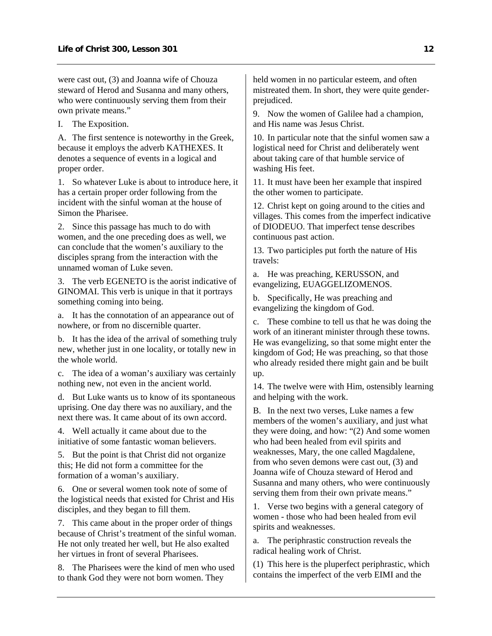were cast out, (3) and Joanna wife of Chouza steward of Herod and Susanna and many others, who were continuously serving them from their own private means."

I. The Exposition.

A. The first sentence is noteworthy in the Greek, because it employs the adverb KATHEXES. It denotes a sequence of events in a logical and proper order.

1. So whatever Luke is about to introduce here, it has a certain proper order following from the incident with the sinful woman at the house of Simon the Pharisee.

2. Since this passage has much to do with women, and the one preceding does as well, we can conclude that the women's auxiliary to the disciples sprang from the interaction with the unnamed woman of Luke seven.

3. The verb EGENETO is the aorist indicative of GINOMAI. This verb is unique in that it portrays something coming into being.

a. It has the connotation of an appearance out of nowhere, or from no discernible quarter.

b. It has the idea of the arrival of something truly new, whether just in one locality, or totally new in the whole world.

c. The idea of a woman's auxiliary was certainly nothing new, not even in the ancient world.

d. But Luke wants us to know of its spontaneous uprising. One day there was no auxiliary, and the next there was. It came about of its own accord.

4. Well actually it came about due to the initiative of some fantastic woman believers.

5. But the point is that Christ did not organize this; He did not form a committee for the formation of a woman's auxiliary.

6. One or several women took note of some of the logistical needs that existed for Christ and His disciples, and they began to fill them.

7. This came about in the proper order of things because of Christ's treatment of the sinful woman. He not only treated her well, but He also exalted her virtues in front of several Pharisees.

8. The Pharisees were the kind of men who used to thank God they were not born women. They

held women in no particular esteem, and often mistreated them. In short, they were quite genderprejudiced.

9. Now the women of Galilee had a champion, and His name was Jesus Christ.

10. In particular note that the sinful women saw a logistical need for Christ and deliberately went about taking care of that humble service of washing His feet.

11. It must have been her example that inspired the other women to participate.

12. Christ kept on going around to the cities and villages. This comes from the imperfect indicative of DIODEUO. That imperfect tense describes continuous past action.

13. Two participles put forth the nature of His travels:

a. He was preaching, KERUSSON, and evangelizing, EUAGGELIZOMENOS.

b. Specifically, He was preaching and evangelizing the kingdom of God.

c. These combine to tell us that he was doing the work of an itinerant minister through these towns. He was evangelizing, so that some might enter the kingdom of God; He was preaching, so that those who already resided there might gain and be built up.

14. The twelve were with Him, ostensibly learning and helping with the work.

B. In the next two verses, Luke names a few members of the women's auxiliary, and just what they were doing, and how: "(2) And some women who had been healed from evil spirits and weaknesses, Mary, the one called Magdalene, from who seven demons were cast out, (3) and Joanna wife of Chouza steward of Herod and Susanna and many others, who were continuously serving them from their own private means."

1. Verse two begins with a general category of women - those who had been healed from evil spirits and weaknesses.

a. The periphrastic construction reveals the radical healing work of Christ.

(1) This here is the pluperfect periphrastic, which contains the imperfect of the verb EIMI and the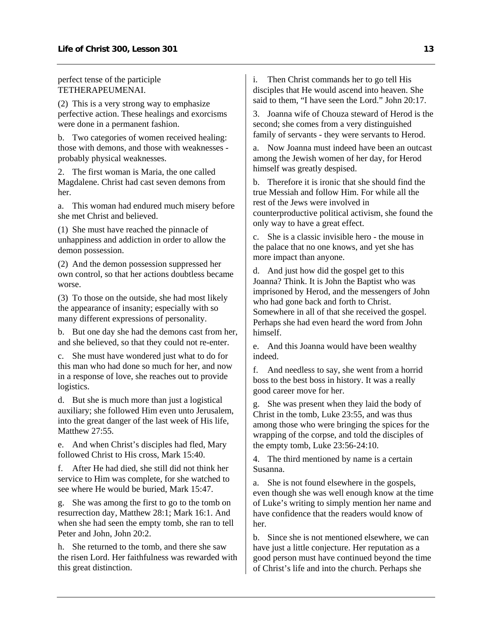perfect tense of the participle TETHERAPEUMENAI.

(2) This is a very strong way to emphasize perfective action. These healings and exorcisms were done in a permanent fashion.

b. Two categories of women received healing: those with demons, and those with weaknesses probably physical weaknesses.

2. The first woman is Maria, the one called Magdalene. Christ had cast seven demons from her.

a. This woman had endured much misery before she met Christ and believed.

(1) She must have reached the pinnacle of unhappiness and addiction in order to allow the demon possession.

(2) And the demon possession suppressed her own control, so that her actions doubtless became worse.

(3) To those on the outside, she had most likely the appearance of insanity; especially with so many different expressions of personality.

b. But one day she had the demons cast from her, and she believed, so that they could not re-enter.

c. She must have wondered just what to do for this man who had done so much for her, and now in a response of love, she reaches out to provide logistics.

d. But she is much more than just a logistical auxiliary; she followed Him even unto Jerusalem, into the great danger of the last week of His life, Matthew 27:55.

e. And when Christ's disciples had fled, Mary followed Christ to His cross, Mark 15:40.

f. After He had died, she still did not think her service to Him was complete, for she watched to see where He would be buried, Mark 15:47.

g. She was among the first to go to the tomb on resurrection day, Matthew 28:1; Mark 16:1. And when she had seen the empty tomb, she ran to tell Peter and John, John 20:2.

h. She returned to the tomb, and there she saw the risen Lord. Her faithfulness was rewarded with this great distinction.

i. Then Christ commands her to go tell His disciples that He would ascend into heaven. She said to them, "I have seen the Lord." John 20:17.

3. Joanna wife of Chouza steward of Herod is the second; she comes from a very distinguished family of servants - they were servants to Herod.

a. Now Joanna must indeed have been an outcast among the Jewish women of her day, for Herod himself was greatly despised.

b. Therefore it is ironic that she should find the true Messiah and follow Him. For while all the rest of the Jews were involved in counterproductive political activism, she found the only way to have a great effect.

c. She is a classic invisible hero - the mouse in the palace that no one knows, and yet she has more impact than anyone.

d. And just how did the gospel get to this Joanna? Think. It is John the Baptist who was imprisoned by Herod, and the messengers of John who had gone back and forth to Christ. Somewhere in all of that she received the gospel. Perhaps she had even heard the word from John himself.

e. And this Joanna would have been wealthy indeed.

f. And needless to say, she went from a horrid boss to the best boss in history. It was a really good career move for her.

g. She was present when they laid the body of Christ in the tomb, Luke 23:55, and was thus among those who were bringing the spices for the wrapping of the corpse, and told the disciples of the empty tomb, Luke 23:56-24:10.

4. The third mentioned by name is a certain Susanna.

a. She is not found elsewhere in the gospels, even though she was well enough know at the time of Luke's writing to simply mention her name and have confidence that the readers would know of her.

b. Since she is not mentioned elsewhere, we can have just a little conjecture. Her reputation as a good person must have continued beyond the time of Christ's life and into the church. Perhaps she